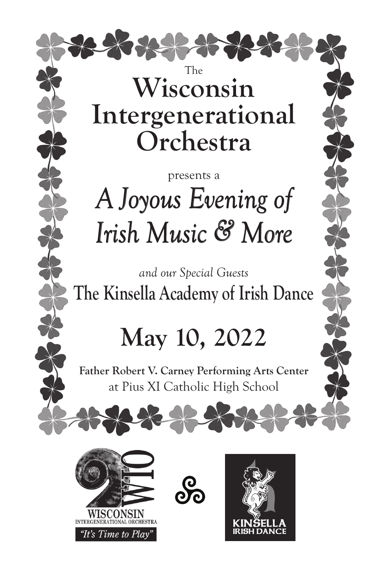

# **Intergenerational Orchestra**

# presents a *A Joyous Evening of Irish Music & More*

*and our Special Guests* **The Kinsella Academy of Irish Dance**

# **May 10, 2022**

**Father Robert V. Carney Performing Arts Center** at Pius XI Catholic High School



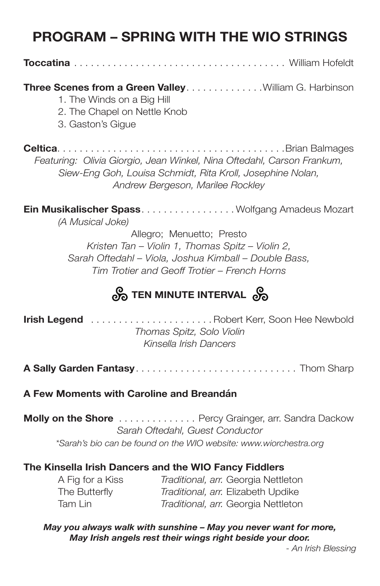## **PROGRAM – SPRING WITH THE WIO STRINGS**

**Toccatina** . . . . . . . . . . . . . . . . . . . . . . . . . . . . . . . . . . . . . . William Hofeldt

#### **Three Scenes from a Green Valley . . . . . . . . . . . . . . William G. Harbinson**

- 1. The Winds on a Big Hill
- 2. The Chapel on Nettle Knob
- 3. Gaston's Gigue

**Celtica** . . . . . . . . . . . . . . . . . . . . . . . . . . . . . . . . . . . . . . . . Brian Balmages *Featuring: Olivia Giorgio, Jean Winkel, Nina Oftedahl, Carson Frankum, Siew-Eng Goh, Louisa Schmidt, Rita Kroll, Josephine Nolan, Andrew Bergeson, Marilee Rockley*

**Ein Musikalischer Spass** . . . . . . . . . . . . . . . . Wolfgang Amadeus Mozart *(A Musical Joke)*

> Allegro; Menuetto; Presto *Kristen Tan – Violin 1, Thomas Spitz – Violin 2, Sarah Oftedahl – Viola, Joshua Kimball – Double Bass, Tim Trotier and Geoff Trotier – French Horns*

## *<u>တို့ TEN MINUTE INTERVAL တို့</u>*

**Irish Legend** . . . . . . . . . . . . . . . . . . . . . Robert Kerr, Soon Hee Newbold *Thomas Spitz, Solo Violin Kinsella Irish Dancers*

**A Sally Garden Fantasy** . . . . . . . . . . . . . . . . . . . . . . . . . . . . . Thom Sharp

#### **A Few Moments with Caroline and Breandán**

**Molly on the Shore** . . . . . . . . . . . . . . Percy Grainger, arr. Sandra Dackow *Sarah Oftedahl, Guest Conductor \*Sarah's bio can be found on the WIO website: www.wiorchestra.org*

#### **The Kinsella Irish Dancers and the WIO Fancy Fiddlers**

 A Fig for a Kiss *Traditional, arr.* Georgia Nettleton The Butterfly *Traditional, arr.* Elizabeth Updike Tam Lin *Traditional, arr.* Georgia Nettleton

*May you always walk with sunshine – May you never want for more, May Irish angels rest their wings right beside your door.* 

*- An Irish Blessing*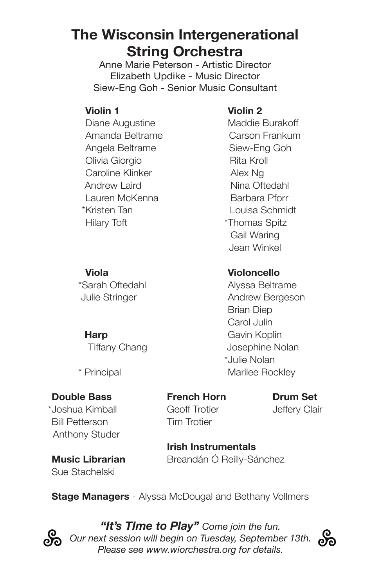## **The Wisconsin Intergenerational String Orchestra**

Anne Marie Peterson - Artistic Director Elizabeth Updike - Music Director Siew-Eng Goh - Senior Music Consultant

*\*\**Diane Augustine *\*\**Maddie Burakoff Amanda Beltrame Carson Frankum Angela Beltrame Siew-Eng Goh **Olivia Giorgio** *\** **\* \* \* \* \* \* \* \* \* Rita Kroll Caroline Klinker \*\* Alex Ng** *\** Andrew Laird *\*\** Nina Oftedahl *\*\**Lauren McKenna *\*\** Barbara Pforr \*Kristen Tan \* Louisa Schmidt *\*\**Hilary Toft *\**\*Thomas Spitz

### *\*\****Violin 1** *\*\****Violin 2**

Gail Waring Jean Winkel

### *\*\****Viola** *\*\****Violoncello**

\*Sarah Oftedahl *\*\**Alyssa Beltrame Julie Stringer **\*\*\* Andrew Bergeson Brian Diep** Carol Julin **Harp \*\*\*Cavin Koplin** Tiffany Chang Tiffany Chang *\**\*Julie Nolan \* Principal *\*\**Marilee Rockley

#### **Double Bass French Horn Drum Set**

\*\*Joshua Kimball Geoff Trotier Jeffery Clair **Bill Petterson Tim Trotier** Anthony Studer

 **Irish Instrumentals Music Librarian** Breandán Ó Reilly-Sánchez

Sue Stachelski

**Stage Managers** - Alyssa McDougal and Bethany Vollmers



*"It's TIme to Play" Come join the fun.*  Our next session will begin on Tuesday, September 13th. *Please see www.wiorchestra.org for details.*